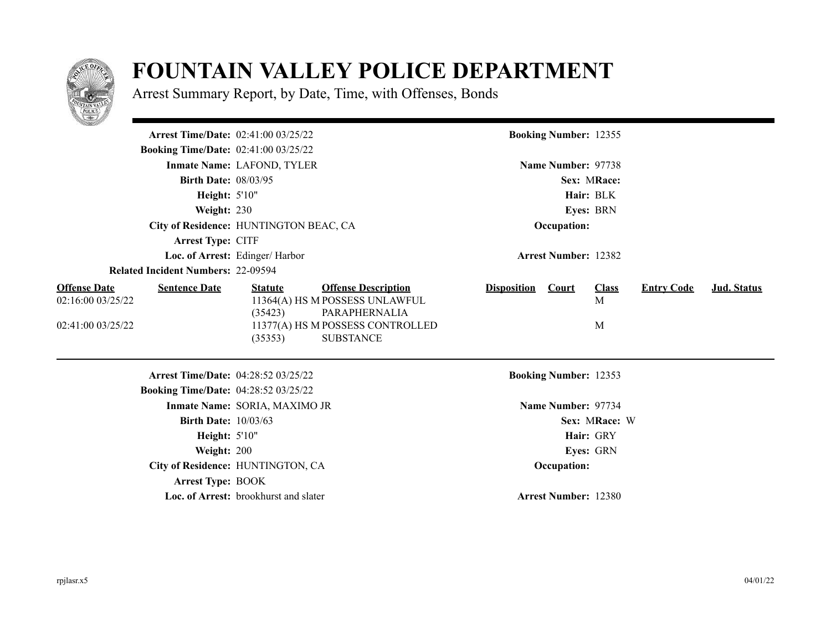

## **FOUNTAIN VALLEY POLICE DEPARTMENT**

Arrest Summary Report, by Date, Time, with Offenses, Bonds

| <b>Arrest Time/Date: 02:41:00 03/25/22</b>                                            |                                        |                                                                                                                                       |                    | <b>Booking Number: 12355</b> |                        |                   |                    |
|---------------------------------------------------------------------------------------|----------------------------------------|---------------------------------------------------------------------------------------------------------------------------------------|--------------------|------------------------------|------------------------|-------------------|--------------------|
| <b>Booking Time/Date: 02:41:00 03/25/22</b>                                           |                                        |                                                                                                                                       |                    |                              |                        |                   |                    |
|                                                                                       | Inmate Name: LAFOND, TYLER             |                                                                                                                                       |                    | Name Number: 97738           |                        |                   |                    |
| <b>Birth Date: 08/03/95</b>                                                           |                                        |                                                                                                                                       |                    |                              | Sex: MRace:            |                   |                    |
| Height: 5'10"                                                                         |                                        |                                                                                                                                       |                    |                              | Hair: BLK              |                   |                    |
| Weight: 230                                                                           |                                        |                                                                                                                                       |                    |                              | Eyes: BRN              |                   |                    |
|                                                                                       | City of Residence: HUNTINGTON BEAC, CA |                                                                                                                                       |                    | Occupation:                  |                        |                   |                    |
| Arrest Type: CITF                                                                     |                                        |                                                                                                                                       |                    |                              |                        |                   |                    |
|                                                                                       | Loc. of Arrest: Edinger/ Harbor        |                                                                                                                                       |                    | <b>Arrest Number: 12382</b>  |                        |                   |                    |
| <b>Related Incident Numbers: 22-09594</b>                                             |                                        |                                                                                                                                       |                    |                              |                        |                   |                    |
| <b>Offense Date</b><br><b>Sentence Date</b><br>02:16:00 03/25/22<br>02:41:00 03/25/22 | <b>Statute</b><br>(35423)<br>(35353)   | <b>Offense Description</b><br>11364(A) HS M POSSESS UNLAWFUL<br>PARAPHERNALIA<br>11377(A) HS M POSSESS CONTROLLED<br><b>SUBSTANCE</b> | <b>Disposition</b> | <b>Court</b>                 | <b>Class</b><br>M<br>M | <b>Entry Code</b> | <b>Jud.</b> Status |
| Arrest Time/Date: 04:28:52 03/25/22                                                   |                                        |                                                                                                                                       |                    | <b>Booking Number: 12353</b> |                        |                   |                    |
| <b>Booking Time/Date: 04:28:52 03/25/22</b>                                           |                                        |                                                                                                                                       |                    |                              |                        |                   |                    |
|                                                                                       | Inmate Name: SORIA, MAXIMO JR          |                                                                                                                                       |                    | Name Number: 97734           |                        |                   |                    |
| <b>Birth Date: 10/03/63</b>                                                           |                                        |                                                                                                                                       |                    |                              | Sex: MRace: W          |                   |                    |
| <b>Height: 5'10"</b>                                                                  |                                        |                                                                                                                                       |                    |                              | Hair: GRY              |                   |                    |
| Weight: 200                                                                           |                                        |                                                                                                                                       |                    |                              | Eyes: GRN              |                   |                    |
|                                                                                       | City of Residence: HUNTINGTON, CA      |                                                                                                                                       |                    | Occupation:                  |                        |                   |                    |
| <b>Arrest Type: BOOK</b>                                                              |                                        |                                                                                                                                       |                    |                              |                        |                   |                    |
|                                                                                       | Loc. of Arrest: brookhurst and slater  |                                                                                                                                       |                    | <b>Arrest Number: 12380</b>  |                        |                   |                    |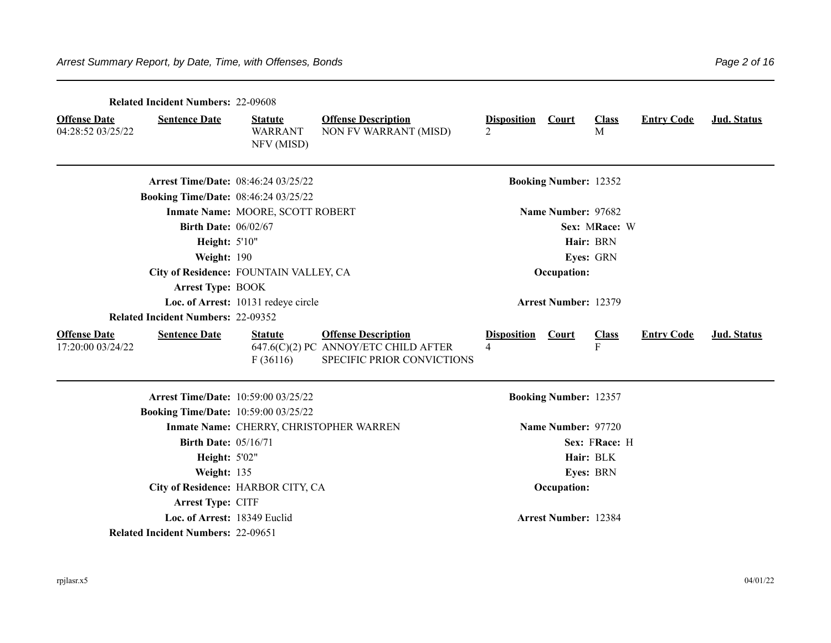|                                          | <b>Related Incident Numbers: 22-09608</b>   |                                                |                                                                                                  |                         |                              |                   |                   |             |
|------------------------------------------|---------------------------------------------|------------------------------------------------|--------------------------------------------------------------------------------------------------|-------------------------|------------------------------|-------------------|-------------------|-------------|
| <b>Offense Date</b><br>04:28:52 03/25/22 | <b>Sentence Date</b>                        | <b>Statute</b><br><b>WARRANT</b><br>NFV (MISD) | <b>Offense Description</b><br>NON FV WARRANT (MISD)                                              | <b>Disposition</b><br>2 | <b>Court</b>                 | <b>Class</b><br>M | <b>Entry Code</b> | Jud. Status |
|                                          | <b>Arrest Time/Date: 08:46:24 03/25/22</b>  |                                                |                                                                                                  |                         | <b>Booking Number: 12352</b> |                   |                   |             |
|                                          | <b>Booking Time/Date: 08:46:24 03/25/22</b> |                                                |                                                                                                  |                         |                              |                   |                   |             |
|                                          |                                             | Inmate Name: MOORE, SCOTT ROBERT               |                                                                                                  |                         | Name Number: 97682           |                   |                   |             |
|                                          | <b>Birth Date: 06/02/67</b>                 |                                                |                                                                                                  |                         |                              | Sex: MRace: W     |                   |             |
|                                          | <b>Height: 5'10"</b>                        |                                                |                                                                                                  |                         |                              | Hair: BRN         |                   |             |
|                                          | Weight: 190                                 |                                                |                                                                                                  |                         |                              | Eyes: GRN         |                   |             |
|                                          | City of Residence: FOUNTAIN VALLEY, CA      |                                                |                                                                                                  |                         | Occupation:                  |                   |                   |             |
|                                          | <b>Arrest Type: BOOK</b>                    |                                                |                                                                                                  |                         |                              |                   |                   |             |
|                                          |                                             | Loc. of Arrest: 10131 redeye circle            |                                                                                                  |                         | <b>Arrest Number: 12379</b>  |                   |                   |             |
|                                          | <b>Related Incident Numbers: 22-09352</b>   |                                                |                                                                                                  |                         |                              |                   |                   |             |
| <b>Offense Date</b><br>17:20:00 03/24/22 | <b>Sentence Date</b>                        | <b>Statute</b><br>F(36116)                     | <b>Offense Description</b><br>647.6(C)(2) PC ANNOY/ETC CHILD AFTER<br>SPECIFIC PRIOR CONVICTIONS | <b>Disposition</b><br>4 | <b>Court</b>                 | <b>Class</b><br>F | <b>Entry Code</b> | Jud. Status |
|                                          | <b>Arrest Time/Date: 10:59:00 03/25/22</b>  |                                                |                                                                                                  |                         | <b>Booking Number: 12357</b> |                   |                   |             |
|                                          | <b>Booking Time/Date: 10:59:00 03/25/22</b> |                                                |                                                                                                  |                         |                              |                   |                   |             |
|                                          |                                             |                                                | Inmate Name: CHERRY, CHRISTOPHER WARREN                                                          |                         | Name Number: 97720           |                   |                   |             |
|                                          | <b>Birth Date: 05/16/71</b>                 |                                                |                                                                                                  |                         |                              | Sex: FRace: H     |                   |             |
|                                          | <b>Height: 5'02"</b>                        |                                                |                                                                                                  |                         |                              | Hair: BLK         |                   |             |
|                                          | Weight: 135                                 |                                                |                                                                                                  |                         |                              | Eyes: BRN         |                   |             |
|                                          |                                             | City of Residence: HARBOR CITY, CA             |                                                                                                  |                         | Occupation:                  |                   |                   |             |
|                                          | Arrest Type: CITF                           |                                                |                                                                                                  |                         |                              |                   |                   |             |
|                                          | Loc. of Arrest: 18349 Euclid                |                                                |                                                                                                  |                         | <b>Arrest Number: 12384</b>  |                   |                   |             |
|                                          | <b>Related Incident Numbers: 22-09651</b>   |                                                |                                                                                                  |                         |                              |                   |                   |             |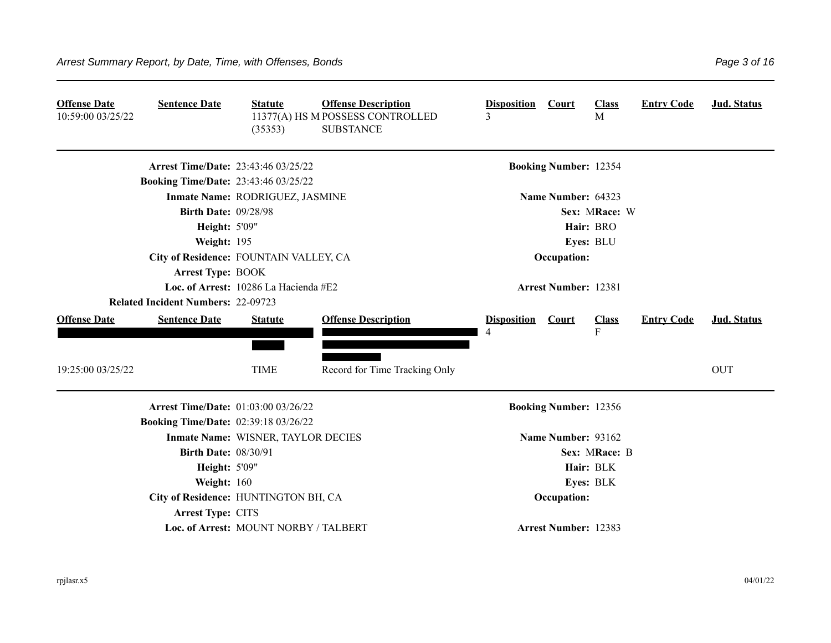| <b>Offense Date</b><br>10:59:00 03/25/22 | <b>Sentence Date</b>                        | <b>Statute</b><br>(35353)             | <b>Offense Description</b><br>11377(A) HS M POSSESS CONTROLLED<br><b>SUBSTANCE</b> | <b>Disposition</b><br>3 | Court                        | <b>Class</b><br>M | <b>Entry Code</b> | <b>Jud. Status</b> |
|------------------------------------------|---------------------------------------------|---------------------------------------|------------------------------------------------------------------------------------|-------------------------|------------------------------|-------------------|-------------------|--------------------|
|                                          | <b>Arrest Time/Date: 23:43:46 03/25/22</b>  |                                       |                                                                                    |                         | <b>Booking Number: 12354</b> |                   |                   |                    |
|                                          | <b>Booking Time/Date: 23:43:46 03/25/22</b> |                                       |                                                                                    |                         |                              |                   |                   |                    |
|                                          |                                             | Inmate Name: RODRIGUEZ, JASMINE       |                                                                                    |                         | Name Number: 64323           |                   |                   |                    |
|                                          | <b>Birth Date: 09/28/98</b>                 |                                       |                                                                                    |                         |                              | Sex: MRace: W     |                   |                    |
|                                          | Height: 5'09"                               |                                       |                                                                                    |                         |                              | Hair: BRO         |                   |                    |
|                                          | Weight: 195                                 |                                       |                                                                                    |                         |                              | Eyes: BLU         |                   |                    |
|                                          | City of Residence: FOUNTAIN VALLEY, CA      |                                       |                                                                                    |                         | Occupation:                  |                   |                   |                    |
|                                          | <b>Arrest Type: BOOK</b>                    |                                       |                                                                                    |                         |                              |                   |                   |                    |
|                                          |                                             | Loc. of Arrest: 10286 La Hacienda #E2 |                                                                                    |                         | <b>Arrest Number: 12381</b>  |                   |                   |                    |
|                                          | <b>Related Incident Numbers: 22-09723</b>   |                                       |                                                                                    |                         |                              |                   |                   |                    |
| <b>Offense Date</b>                      | <b>Sentence Date</b>                        | <b>Statute</b>                        | <b>Offense Description</b>                                                         | <b>Disposition</b>      | <b>Court</b>                 | <b>Class</b>      | <b>Entry Code</b> | <b>Jud. Status</b> |
|                                          |                                             |                                       |                                                                                    |                         |                              | $\mathbf{F}$      |                   |                    |
| 19:25:00 03/25/22                        |                                             | <b>TIME</b>                           | Record for Time Tracking Only                                                      |                         |                              |                   |                   | <b>OUT</b>         |
|                                          | Arrest Time/Date: 01:03:00 03/26/22         |                                       |                                                                                    |                         | <b>Booking Number: 12356</b> |                   |                   |                    |
|                                          | <b>Booking Time/Date: 02:39:18 03/26/22</b> |                                       |                                                                                    |                         |                              |                   |                   |                    |
|                                          |                                             | Inmate Name: WISNER, TAYLOR DECIES    |                                                                                    |                         | Name Number: 93162           |                   |                   |                    |
|                                          | <b>Birth Date: 08/30/91</b>                 |                                       |                                                                                    |                         |                              | Sex: MRace: B     |                   |                    |
|                                          | <b>Height: 5'09"</b>                        |                                       |                                                                                    |                         |                              | Hair: BLK         |                   |                    |
|                                          | Weight: 160                                 |                                       |                                                                                    |                         |                              | Eyes: BLK         |                   |                    |
|                                          | City of Residence: HUNTINGTON BH, CA        |                                       |                                                                                    |                         | Occupation:                  |                   |                   |                    |
|                                          | Arrest Type: CITS                           |                                       |                                                                                    |                         |                              |                   |                   |                    |
|                                          |                                             | Loc. of Arrest: MOUNT NORBY / TALBERT |                                                                                    |                         | <b>Arrest Number: 12383</b>  |                   |                   |                    |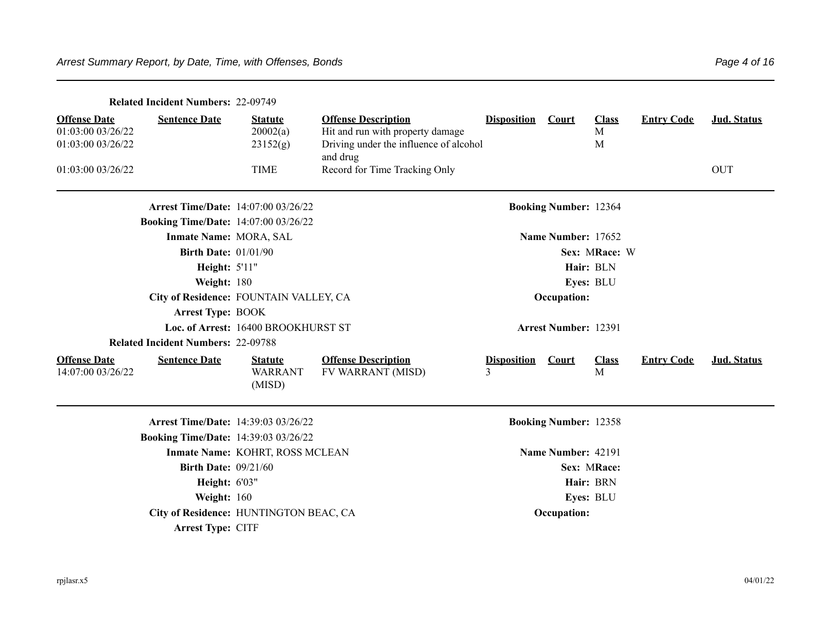|                                                               | <b>Related Incident Numbers: 22-09749</b>   |                                            |                                                                                                                      |                         |                              |                        |                   |             |
|---------------------------------------------------------------|---------------------------------------------|--------------------------------------------|----------------------------------------------------------------------------------------------------------------------|-------------------------|------------------------------|------------------------|-------------------|-------------|
| <b>Offense Date</b><br>01:03:00 03/26/22<br>01:03:00 03/26/22 | <b>Sentence Date</b>                        | <b>Statute</b><br>20002(a)<br>23152(g)     | <b>Offense Description</b><br>Hit and run with property damage<br>Driving under the influence of alcohol<br>and drug | <b>Disposition</b>      | <b>Court</b>                 | <b>Class</b><br>M<br>M | <b>Entry Code</b> | Jud. Status |
| 01:03:00 03/26/22                                             |                                             | <b>TIME</b>                                | Record for Time Tracking Only                                                                                        |                         |                              |                        |                   | <b>OUT</b>  |
|                                                               | <b>Arrest Time/Date: 14:07:00 03/26/22</b>  |                                            |                                                                                                                      |                         | <b>Booking Number: 12364</b> |                        |                   |             |
|                                                               | <b>Booking Time/Date: 14:07:00 03/26/22</b> |                                            |                                                                                                                      |                         |                              |                        |                   |             |
|                                                               | Inmate Name: MORA, SAL                      |                                            |                                                                                                                      |                         | Name Number: 17652           |                        |                   |             |
|                                                               | <b>Birth Date: 01/01/90</b>                 |                                            |                                                                                                                      |                         |                              | Sex: MRace: W          |                   |             |
|                                                               | <b>Height: 5'11"</b>                        |                                            |                                                                                                                      |                         |                              | Hair: BLN              |                   |             |
|                                                               | Weight: 180                                 |                                            |                                                                                                                      |                         |                              | Eyes: BLU              |                   |             |
|                                                               |                                             | City of Residence: FOUNTAIN VALLEY, CA     |                                                                                                                      |                         | Occupation:                  |                        |                   |             |
|                                                               | <b>Arrest Type: BOOK</b>                    |                                            |                                                                                                                      |                         |                              |                        |                   |             |
|                                                               |                                             | Loc. of Arrest: 16400 BROOKHURST ST        |                                                                                                                      |                         | <b>Arrest Number: 12391</b>  |                        |                   |             |
|                                                               | <b>Related Incident Numbers: 22-09788</b>   |                                            |                                                                                                                      |                         |                              |                        |                   |             |
| <b>Offense Date</b><br>14:07:00 03/26/22                      | <b>Sentence Date</b>                        | <b>Statute</b><br><b>WARRANT</b><br>(MISD) | <b>Offense Description</b><br>FV WARRANT (MISD)                                                                      | <b>Disposition</b><br>3 | Court                        | <b>Class</b><br>M      | <b>Entry Code</b> | Jud. Status |
|                                                               | <b>Arrest Time/Date: 14:39:03 03/26/22</b>  |                                            |                                                                                                                      |                         | <b>Booking Number: 12358</b> |                        |                   |             |
|                                                               | <b>Booking Time/Date: 14:39:03 03/26/22</b> |                                            |                                                                                                                      |                         |                              |                        |                   |             |
|                                                               |                                             | Inmate Name: KOHRT, ROSS MCLEAN            |                                                                                                                      |                         | Name Number: 42191           |                        |                   |             |
|                                                               | <b>Birth Date: 09/21/60</b>                 |                                            |                                                                                                                      |                         |                              | Sex: MRace:            |                   |             |
|                                                               | <b>Height: 6'03"</b>                        |                                            |                                                                                                                      |                         |                              | Hair: BRN              |                   |             |
|                                                               | Weight: 160                                 |                                            |                                                                                                                      |                         |                              | Eyes: BLU              |                   |             |
|                                                               |                                             | City of Residence: HUNTINGTON BEAC, CA     |                                                                                                                      |                         | Occupation:                  |                        |                   |             |
|                                                               | <b>Arrest Type: CITF</b>                    |                                            |                                                                                                                      |                         |                              |                        |                   |             |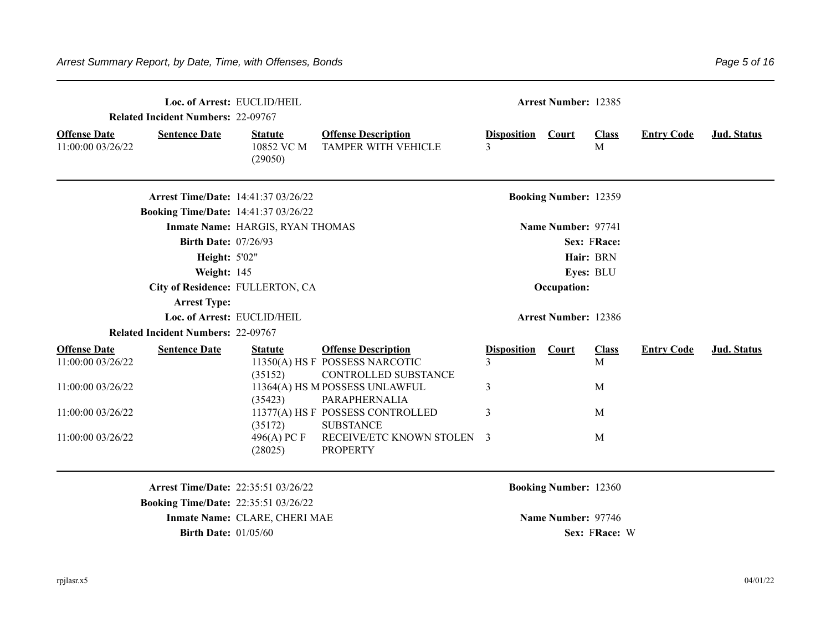|                                          | Loc. of Arrest: EUCLID/HEIL<br><b>Related Incident Numbers: 22-09767</b> |                                         | <b>Arrest Number: 12385</b>                              |                               |                              |                              |                   |             |
|------------------------------------------|--------------------------------------------------------------------------|-----------------------------------------|----------------------------------------------------------|-------------------------------|------------------------------|------------------------------|-------------------|-------------|
| <b>Offense Date</b><br>11:00:00 03/26/22 | <b>Sentence Date</b>                                                     | <b>Statute</b><br>10852 VC M<br>(29050) | <b>Offense Description</b><br><b>TAMPER WITH VEHICLE</b> | <b>Disposition Court</b><br>3 |                              | <b>Class</b><br>$\mathbf{M}$ | <b>Entry Code</b> | Jud. Status |
|                                          | <b>Arrest Time/Date: 14:41:37 03/26/22</b>                               |                                         |                                                          |                               | <b>Booking Number: 12359</b> |                              |                   |             |
|                                          | <b>Booking Time/Date: 14:41:37 03/26/22</b>                              |                                         |                                                          |                               |                              |                              |                   |             |
|                                          |                                                                          | Inmate Name: HARGIS, RYAN THOMAS        |                                                          |                               | Name Number: 97741           |                              |                   |             |
|                                          | <b>Birth Date: 07/26/93</b>                                              |                                         |                                                          |                               |                              | Sex: FRace:                  |                   |             |
|                                          | <b>Height: 5'02"</b>                                                     |                                         |                                                          |                               |                              | Hair: BRN                    |                   |             |
|                                          | Weight: 145                                                              |                                         |                                                          |                               |                              | Eyes: BLU                    |                   |             |
|                                          | City of Residence: FULLERTON, CA                                         |                                         |                                                          |                               | Occupation:                  |                              |                   |             |
|                                          | <b>Arrest Type:</b>                                                      |                                         |                                                          |                               |                              |                              |                   |             |
|                                          |                                                                          | Loc. of Arrest: EUCLID/HEIL             |                                                          |                               | <b>Arrest Number: 12386</b>  |                              |                   |             |
|                                          | <b>Related Incident Numbers: 22-09767</b>                                |                                         |                                                          |                               |                              |                              |                   |             |
| <b>Offense Date</b>                      | <b>Sentence Date</b>                                                     | <b>Statute</b>                          | <b>Offense Description</b>                               | <b>Disposition</b>            | <b>Court</b>                 | <b>Class</b>                 | <b>Entry Code</b> | Jud. Status |
| 11:00:00 03/26/22                        |                                                                          | (35152)                                 | 11350(A) HS F POSSESS NARCOTIC<br>CONTROLLED SUBSTANCE   | 3                             |                              | M                            |                   |             |
| 11:00:00 03/26/22                        |                                                                          | (35423)                                 | 11364(A) HS M POSSESS UNLAWFUL<br>PARAPHERNALIA          | 3                             |                              | M                            |                   |             |
| 11:00:00 03/26/22                        |                                                                          | (35172)                                 | 11377(A) HS F POSSESS CONTROLLED<br><b>SUBSTANCE</b>     | 3                             |                              | M                            |                   |             |
| 11:00:00 03/26/22                        |                                                                          | 496(A) PC F<br>(28025)                  | RECEIVE/ETC KNOWN STOLEN 3<br><b>PROPERTY</b>            |                               |                              | M                            |                   |             |
|                                          | <b>Arrest Time/Date: 22:35:51 03/26/22</b>                               |                                         |                                                          |                               | <b>Booking Number: 12360</b> |                              |                   |             |
|                                          | <b>Booking Time/Date: 22:35:51 03/26/22</b>                              |                                         |                                                          |                               |                              |                              |                   |             |
|                                          |                                                                          | Inmate Name: CLARE, CHERI MAE           |                                                          |                               | Name Number: 97746           |                              |                   |             |

**Birth Date:**  $01/05/60$  **Sex: FRace:** W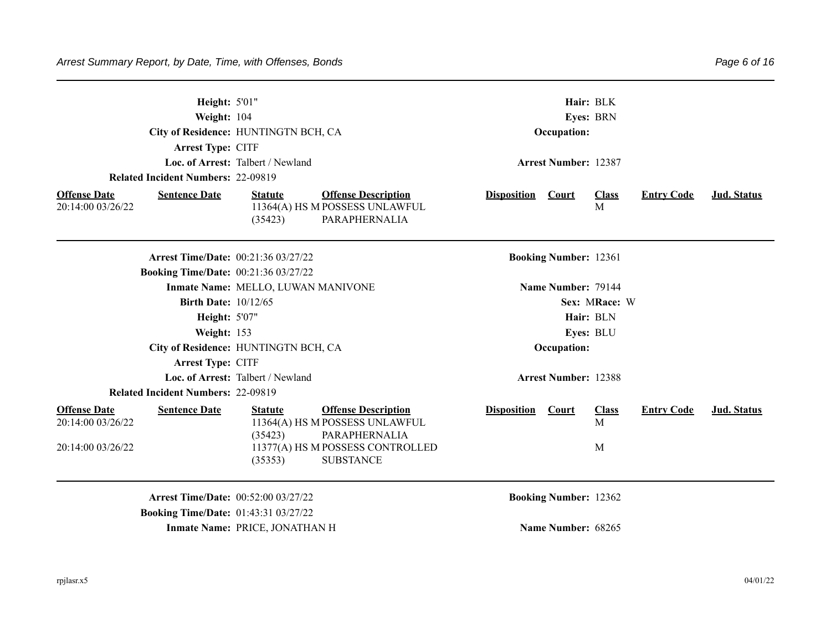| Weight: 104<br>Arrest Type: CITF<br><b>Related Incident Numbers: 22-09819</b> | Height: 5'01"<br>City of Residence: HUNTINGTN BCH, CA<br>Loc. of Arrest: Talbert / Newland                 | Hair: BLK<br>Eyes: BRN<br>Occupation:<br><b>Arrest Number: 12387</b> |                                  |  |  |  |  |
|-------------------------------------------------------------------------------|------------------------------------------------------------------------------------------------------------|----------------------------------------------------------------------|----------------------------------|--|--|--|--|
| <b>Offense Date</b><br><b>Sentence Date</b><br>20:14:00 03/26/22              | <b>Offense Description</b><br><b>Statute</b><br>11364(A) HS M POSSESS UNLAWFUL<br>PARAPHERNALIA<br>(35423) | <b>Disposition Court</b><br><b>Class</b><br>M                        | <b>Entry Code</b><br>Jud. Status |  |  |  |  |
| <b>Booking Time/Date: 00:21:36 03/27/22</b>                                   | <b>Arrest Time/Date: 00:21:36 03/27/22</b>                                                                 | <b>Booking Number: 12361</b>                                         |                                  |  |  |  |  |
|                                                                               | Inmate Name: MELLO, LUWAN MANIVONE                                                                         | Name Number: 79144                                                   |                                  |  |  |  |  |
|                                                                               | Birth Date: $10/12/65$                                                                                     | Sex: MRace: W                                                        |                                  |  |  |  |  |
|                                                                               | <b>Height: 5'07"</b>                                                                                       | Hair: BLN                                                            |                                  |  |  |  |  |
| Weight: 153                                                                   |                                                                                                            | Eyes: BLU                                                            |                                  |  |  |  |  |
|                                                                               | City of Residence: HUNTINGTN BCH, CA                                                                       | Occupation:                                                          |                                  |  |  |  |  |
| Arrest Type: CITF                                                             |                                                                                                            |                                                                      |                                  |  |  |  |  |
|                                                                               | Loc. of Arrest: Talbert / Newland                                                                          | <b>Arrest Number: 12388</b>                                          |                                  |  |  |  |  |
| <b>Related Incident Numbers: 22-09819</b>                                     |                                                                                                            |                                                                      |                                  |  |  |  |  |
| <b>Offense Date</b><br><b>Sentence Date</b><br>20:14:00 03/26/22              | <b>Offense Description</b><br><b>Statute</b><br>11364(A) HS M POSSESS UNLAWFUL<br>(35423)<br>PARAPHERNALIA | Disposition Court<br><b>Class</b><br>M                               | <b>Entry Code</b><br>Jud. Status |  |  |  |  |
| 20:14:00 03/26/22                                                             | 11377(A) HS M POSSESS CONTROLLED<br><b>SUBSTANCE</b><br>(35353)                                            | M                                                                    |                                  |  |  |  |  |
|                                                                               | <b>Arrest Time/Date: 00:52:00 03/27/22</b><br><b>Booking Time/Date: 01:43:31 03/27/22</b>                  | <b>Booking Number: 12362</b>                                         |                                  |  |  |  |  |
|                                                                               | Inmate Name: PRICE, JONATHAN H                                                                             | Name Number: 68265                                                   |                                  |  |  |  |  |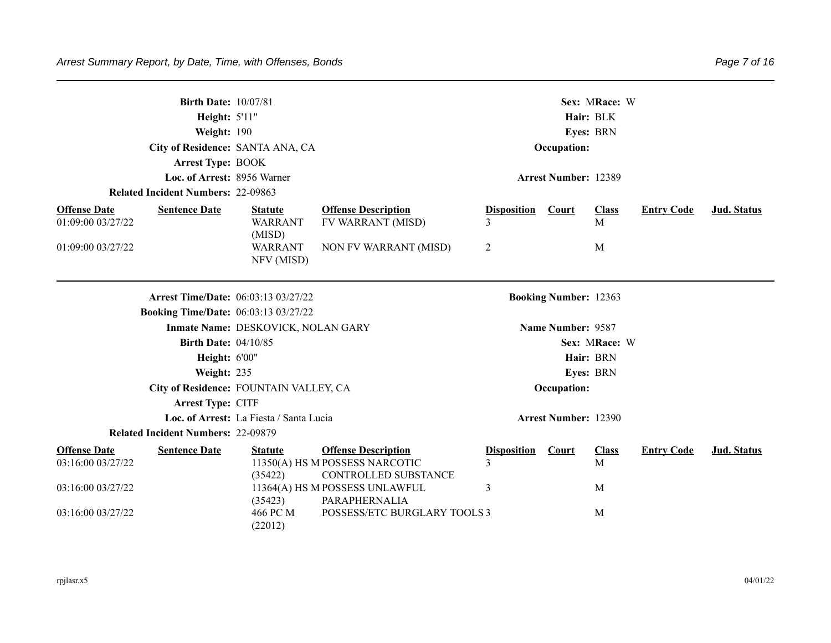|                                             | <b>Birth Date: 10/07/81</b><br>Height: 5'11"<br>Weight: 190<br>City of Residence: SANTA ANA, CA<br><b>Arrest Type: BOOK</b><br>Loc. of Arrest: 8956 Warner<br><b>Related Incident Numbers: 22-09863</b><br><b>Offense Description</b><br><b>Sentence Date</b><br><b>Statute</b> |                                             |                                                        |                         | Sex: MRace: W<br>Hair: BLK<br>Eyes: BRN<br>Occupation:<br><b>Arrest Number: 12389</b> |                   |                   |                    |  |
|---------------------------------------------|---------------------------------------------------------------------------------------------------------------------------------------------------------------------------------------------------------------------------------------------------------------------------------|---------------------------------------------|--------------------------------------------------------|-------------------------|---------------------------------------------------------------------------------------|-------------------|-------------------|--------------------|--|
| <b>Offense Date</b><br>01:09:00 03/27/22    |                                                                                                                                                                                                                                                                                 | <b>WARRANT</b><br>(MISD)                    | FV WARRANT (MISD)                                      | <b>Disposition</b><br>3 | <b>Court</b>                                                                          | <b>Class</b><br>M | <b>Entry Code</b> | Jud. Status        |  |
| 01:09:00 03/27/22                           |                                                                                                                                                                                                                                                                                 | <b>WARRANT</b><br>NFV (MISD)                | NON FV WARRANT (MISD)                                  | 2                       |                                                                                       | M                 |                   |                    |  |
|                                             |                                                                                                                                                                                                                                                                                 | <b>Arrest Time/Date: 06:03:13 03/27/22</b>  |                                                        |                         | <b>Booking Number: 12363</b>                                                          |                   |                   |                    |  |
|                                             |                                                                                                                                                                                                                                                                                 | <b>Booking Time/Date:</b> 06:03:13 03/27/22 |                                                        |                         |                                                                                       |                   |                   |                    |  |
|                                             |                                                                                                                                                                                                                                                                                 | Inmate Name: DESKOVICK, NOLAN GARY          |                                                        |                         | Name Number: 9587                                                                     |                   |                   |                    |  |
|                                             | <b>Birth Date: 04/10/85</b>                                                                                                                                                                                                                                                     |                                             |                                                        |                         |                                                                                       | Sex: MRace: W     |                   |                    |  |
|                                             | Height: 6'00"                                                                                                                                                                                                                                                                   |                                             |                                                        |                         |                                                                                       | Hair: BRN         |                   |                    |  |
|                                             | Weight: 235                                                                                                                                                                                                                                                                     |                                             |                                                        |                         |                                                                                       | Eyes: BRN         |                   |                    |  |
|                                             |                                                                                                                                                                                                                                                                                 | City of Residence: FOUNTAIN VALLEY, CA      |                                                        |                         | Occupation:                                                                           |                   |                   |                    |  |
|                                             | Arrest Type: CITF                                                                                                                                                                                                                                                               |                                             |                                                        |                         |                                                                                       |                   |                   |                    |  |
|                                             |                                                                                                                                                                                                                                                                                 | Loc. of Arrest: La Fiesta / Santa Lucia     |                                                        |                         | <b>Arrest Number: 12390</b>                                                           |                   |                   |                    |  |
| <b>Related Incident Numbers: 22-09879</b>   |                                                                                                                                                                                                                                                                                 |                                             |                                                        |                         |                                                                                       |                   |                   |                    |  |
| <b>Offense Date</b><br><b>Sentence Date</b> |                                                                                                                                                                                                                                                                                 | <b>Statute</b>                              | <b>Offense Description</b>                             | <b>Disposition</b>      | Court                                                                                 | <b>Class</b>      | <b>Entry Code</b> | <b>Jud. Status</b> |  |
| 03:16:00 03/27/22                           |                                                                                                                                                                                                                                                                                 | (35422)                                     | 11350(A) HS M POSSESS NARCOTIC<br>CONTROLLED SUBSTANCE | 3                       |                                                                                       | M                 |                   |                    |  |
| 03:16:00 03/27/22                           |                                                                                                                                                                                                                                                                                 | (35423)                                     | 11364(A) HS M POSSESS UNLAWFUL<br>PARAPHERNALIA        | 3                       |                                                                                       | M                 |                   |                    |  |
| 03:16:00 03/27/22                           |                                                                                                                                                                                                                                                                                 | 466 PC M<br>(22012)                         | POSSESS/ETC BURGLARY TOOLS 3                           |                         |                                                                                       | M                 |                   |                    |  |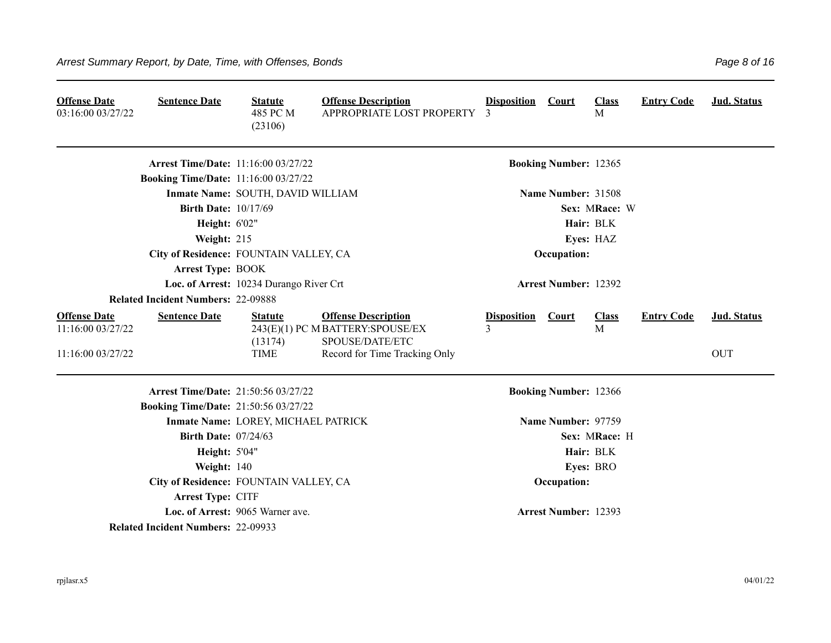| <b>Offense Date</b><br>03:16:00 03/27/22                      | <b>Sentence Date</b>                        | <b>Statute</b><br>485 PC M<br>(23106)    | <b>Offense Description</b><br>APPROPRIATE LOST PROPERTY                                                            | <b>Disposition</b><br>3 | Court                        | <b>Class</b><br>M | <b>Entry Code</b> | Jud. Status               |
|---------------------------------------------------------------|---------------------------------------------|------------------------------------------|--------------------------------------------------------------------------------------------------------------------|-------------------------|------------------------------|-------------------|-------------------|---------------------------|
|                                                               | <b>Arrest Time/Date: 11:16:00 03/27/22</b>  |                                          |                                                                                                                    |                         | <b>Booking Number: 12365</b> |                   |                   |                           |
|                                                               | <b>Booking Time/Date: 11:16:00 03/27/22</b> |                                          |                                                                                                                    |                         |                              |                   |                   |                           |
|                                                               |                                             | Inmate Name: SOUTH, DAVID WILLIAM        |                                                                                                                    |                         | Name Number: 31508           |                   |                   |                           |
|                                                               | <b>Birth Date: 10/17/69</b>                 |                                          |                                                                                                                    |                         |                              | Sex: MRace: W     |                   |                           |
|                                                               | <b>Height: 6'02"</b>                        |                                          |                                                                                                                    |                         |                              | Hair: BLK         |                   |                           |
|                                                               | Weight: 215                                 |                                          |                                                                                                                    |                         |                              | Eyes: HAZ         |                   |                           |
|                                                               | City of Residence: FOUNTAIN VALLEY, CA      |                                          |                                                                                                                    |                         | Occupation:                  |                   |                   |                           |
|                                                               | Arrest Type: BOOK                           |                                          |                                                                                                                    |                         |                              |                   |                   |                           |
|                                                               |                                             | Loc. of Arrest: 10234 Durango River Crt  |                                                                                                                    |                         | <b>Arrest Number: 12392</b>  |                   |                   |                           |
|                                                               | <b>Related Incident Numbers: 22-09888</b>   |                                          |                                                                                                                    |                         |                              |                   |                   |                           |
| <b>Offense Date</b><br>11:16:00 03/27/22<br>11:16:00 03/27/22 | <b>Sentence Date</b>                        | <b>Statute</b><br>(13174)<br><b>TIME</b> | <b>Offense Description</b><br>243(E)(1) PC M BATTERY:SPOUSE/EX<br>SPOUSE/DATE/ETC<br>Record for Time Tracking Only | <b>Disposition</b><br>3 | <b>Court</b>                 | <b>Class</b><br>M | <b>Entry Code</b> | Jud. Status<br><b>OUT</b> |
|                                                               | <b>Arrest Time/Date: 21:50:56 03/27/22</b>  |                                          |                                                                                                                    |                         | <b>Booking Number: 12366</b> |                   |                   |                           |
|                                                               | <b>Booking Time/Date: 21:50:56 03/27/22</b> |                                          |                                                                                                                    |                         |                              |                   |                   |                           |
|                                                               |                                             | Inmate Name: LOREY, MICHAEL PATRICK      |                                                                                                                    |                         | Name Number: 97759           |                   |                   |                           |
|                                                               | <b>Birth Date: 07/24/63</b>                 |                                          |                                                                                                                    |                         |                              | Sex: MRace: H     |                   |                           |
|                                                               | <b>Height: 5'04"</b>                        |                                          |                                                                                                                    |                         |                              | Hair: BLK         |                   |                           |
|                                                               | Weight: 140                                 |                                          |                                                                                                                    |                         |                              | Eyes: BRO         |                   |                           |
|                                                               | City of Residence: FOUNTAIN VALLEY, CA      |                                          |                                                                                                                    |                         | Occupation:                  |                   |                   |                           |
|                                                               | Arrest Type: CITF                           |                                          |                                                                                                                    |                         |                              |                   |                   |                           |
|                                                               |                                             | Loc. of Arrest: 9065 Warner ave.         |                                                                                                                    |                         | <b>Arrest Number: 12393</b>  |                   |                   |                           |
|                                                               | <b>Related Incident Numbers: 22-09933</b>   |                                          |                                                                                                                    |                         |                              |                   |                   |                           |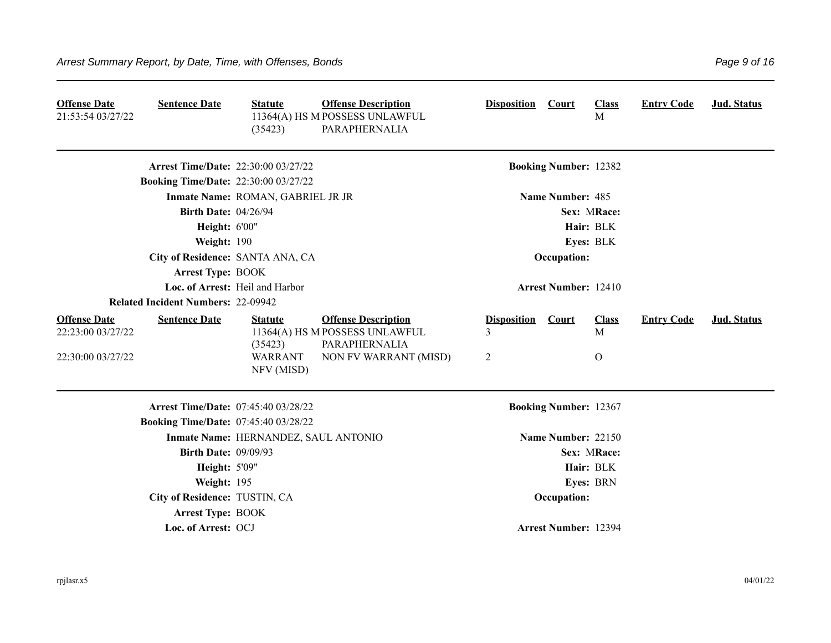| <b>Offense Date</b><br>21:53:54 03/27/22                      | <b>Sentence Date</b>                        | <b>Statute</b><br>(35423)                                 | <b>Offense Description</b><br>11364(A) HS M POSSESS UNLAWFUL<br>PARAPHERNALIA                          | <b>Disposition</b>           | Court                        | <b>Class</b><br>M                | <b>Entry Code</b> | Jud. Status |
|---------------------------------------------------------------|---------------------------------------------|-----------------------------------------------------------|--------------------------------------------------------------------------------------------------------|------------------------------|------------------------------|----------------------------------|-------------------|-------------|
|                                                               | <b>Arrest Time/Date: 22:30:00 03/27/22</b>  |                                                           |                                                                                                        |                              | <b>Booking Number: 12382</b> |                                  |                   |             |
|                                                               | <b>Booking Time/Date: 22:30:00 03/27/22</b> |                                                           |                                                                                                        |                              |                              |                                  |                   |             |
|                                                               |                                             | Inmate Name: ROMAN, GABRIEL JR JR                         |                                                                                                        |                              | Name Number: 485             |                                  |                   |             |
|                                                               | <b>Birth Date: 04/26/94</b>                 |                                                           |                                                                                                        |                              |                              | Sex: MRace:                      |                   |             |
|                                                               | <b>Height: 6'00"</b>                        |                                                           |                                                                                                        |                              |                              | Hair: BLK                        |                   |             |
|                                                               | Weight: 190                                 |                                                           |                                                                                                        |                              |                              | Eyes: BLK                        |                   |             |
|                                                               | City of Residence: SANTA ANA, CA            |                                                           |                                                                                                        |                              | Occupation:                  |                                  |                   |             |
|                                                               | <b>Arrest Type: BOOK</b>                    |                                                           |                                                                                                        |                              |                              |                                  |                   |             |
|                                                               |                                             | Loc. of Arrest: Heil and Harbor                           |                                                                                                        |                              | <b>Arrest Number: 12410</b>  |                                  |                   |             |
|                                                               | <b>Related Incident Numbers: 22-09942</b>   |                                                           |                                                                                                        |                              |                              |                                  |                   |             |
| <b>Offense Date</b><br>22:23:00 03/27/22<br>22:30:00 03/27/22 | <b>Sentence Date</b>                        | <b>Statute</b><br>(35423)<br><b>WARRANT</b><br>NFV (MISD) | <b>Offense Description</b><br>11364(A) HS M POSSESS UNLAWFUL<br>PARAPHERNALIA<br>NON FV WARRANT (MISD) | <b>Disposition</b><br>3<br>2 | <b>Court</b>                 | <b>Class</b><br>M<br>$\mathbf O$ | <b>Entry Code</b> | Jud. Status |
|                                                               | <b>Arrest Time/Date: 07:45:40 03/28/22</b>  |                                                           |                                                                                                        |                              | <b>Booking Number: 12367</b> |                                  |                   |             |
|                                                               | <b>Booking Time/Date: 07:45:40 03/28/22</b> |                                                           |                                                                                                        |                              |                              |                                  |                   |             |
|                                                               |                                             | Inmate Name: HERNANDEZ, SAUL ANTONIO                      |                                                                                                        |                              | Name Number: 22150           |                                  |                   |             |
|                                                               | <b>Birth Date: 09/09/93</b>                 |                                                           |                                                                                                        |                              |                              | Sex: MRace:                      |                   |             |
|                                                               | Height: 5'09"                               |                                                           |                                                                                                        |                              |                              | Hair: BLK                        |                   |             |
|                                                               | Weight: 195                                 |                                                           |                                                                                                        |                              |                              | Eyes: BRN                        |                   |             |
|                                                               | City of Residence: TUSTIN, CA               |                                                           |                                                                                                        |                              | Occupation:                  |                                  |                   |             |
|                                                               | <b>Arrest Type: BOOK</b>                    |                                                           |                                                                                                        |                              |                              |                                  |                   |             |
|                                                               | Loc. of Arrest: OCJ                         |                                                           |                                                                                                        |                              | <b>Arrest Number: 12394</b>  |                                  |                   |             |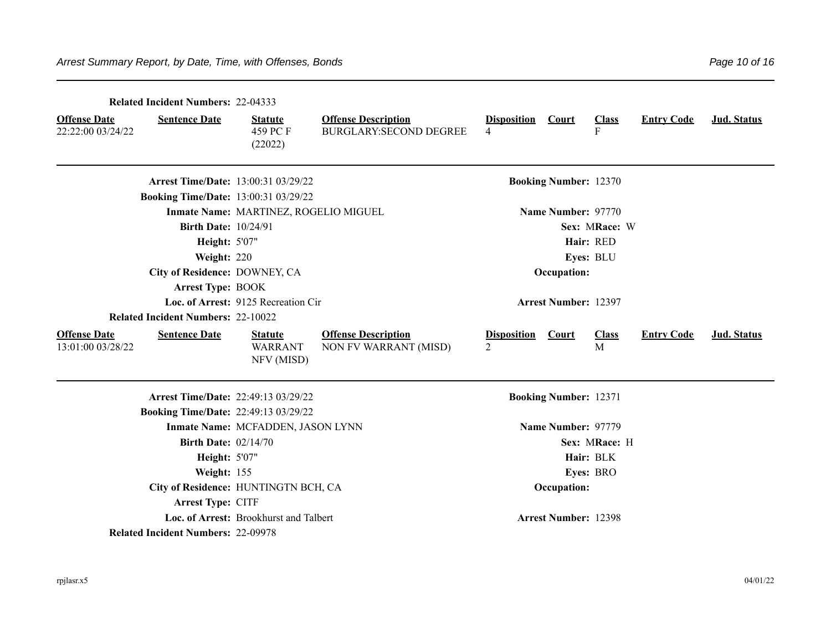|                                          | <b>Related Incident Numbers: 22-04333</b>   |                                                |                                                             |                                      |                              |                   |                   |             |
|------------------------------------------|---------------------------------------------|------------------------------------------------|-------------------------------------------------------------|--------------------------------------|------------------------------|-------------------|-------------------|-------------|
| <b>Offense Date</b><br>22:22:00 03/24/22 | <b>Sentence Date</b>                        | <b>Statute</b><br>459 PC F<br>(22022)          | <b>Offense Description</b><br><b>BURGLARY:SECOND DEGREE</b> | <b>Disposition</b><br>4              | Court                        | <b>Class</b><br>F | <b>Entry Code</b> | Jud. Status |
|                                          | <b>Arrest Time/Date: 13:00:31 03/29/22</b>  |                                                |                                                             |                                      | <b>Booking Number: 12370</b> |                   |                   |             |
|                                          | <b>Booking Time/Date: 13:00:31 03/29/22</b> |                                                |                                                             |                                      |                              |                   |                   |             |
|                                          |                                             | Inmate Name: MARTINEZ, ROGELIO MIGUEL          |                                                             |                                      | Name Number: 97770           |                   |                   |             |
|                                          | <b>Birth Date: 10/24/91</b>                 |                                                |                                                             |                                      |                              | Sex: MRace: W     |                   |             |
|                                          | <b>Height: 5'07"</b>                        |                                                |                                                             |                                      |                              | Hair: RED         |                   |             |
|                                          | Weight: 220                                 |                                                |                                                             |                                      |                              | Eyes: BLU         |                   |             |
|                                          | City of Residence: DOWNEY, CA               |                                                |                                                             |                                      | Occupation:                  |                   |                   |             |
|                                          | <b>Arrest Type: BOOK</b>                    |                                                |                                                             |                                      |                              |                   |                   |             |
|                                          |                                             | Loc. of Arrest: 9125 Recreation Cir            |                                                             |                                      | <b>Arrest Number: 12397</b>  |                   |                   |             |
|                                          | <b>Related Incident Numbers: 22-10022</b>   |                                                |                                                             |                                      |                              |                   |                   |             |
| <b>Offense Date</b><br>13:01:00 03/28/22 | <b>Sentence Date</b>                        | <b>Statute</b><br><b>WARRANT</b><br>NFV (MISD) | <b>Offense Description</b><br>NON FV WARRANT (MISD)         | <b>Disposition</b><br>$\mathfrak{D}$ | <b>Court</b>                 | <b>Class</b><br>M | <b>Entry Code</b> | Jud. Status |
|                                          | <b>Arrest Time/Date: 22:49:13 03/29/22</b>  |                                                |                                                             |                                      | <b>Booking Number: 12371</b> |                   |                   |             |
|                                          | <b>Booking Time/Date: 22:49:13 03/29/22</b> |                                                |                                                             |                                      |                              |                   |                   |             |
|                                          |                                             | Inmate Name: MCFADDEN, JASON LYNN              |                                                             |                                      | Name Number: 97779           |                   |                   |             |
|                                          | <b>Birth Date: 02/14/70</b>                 |                                                |                                                             |                                      |                              | Sex: MRace: H     |                   |             |
|                                          | <b>Height: 5'07"</b>                        |                                                |                                                             |                                      |                              | Hair: BLK         |                   |             |
|                                          | Weight: 155                                 |                                                |                                                             |                                      |                              | Eyes: BRO         |                   |             |
|                                          | City of Residence: HUNTINGTN BCH, CA        |                                                |                                                             |                                      | Occupation:                  |                   |                   |             |
|                                          | Arrest Type: CITF                           |                                                |                                                             |                                      |                              |                   |                   |             |
|                                          |                                             | Loc. of Arrest: Brookhurst and Talbert         |                                                             |                                      | <b>Arrest Number: 12398</b>  |                   |                   |             |
|                                          | <b>Related Incident Numbers: 22-09978</b>   |                                                |                                                             |                                      |                              |                   |                   |             |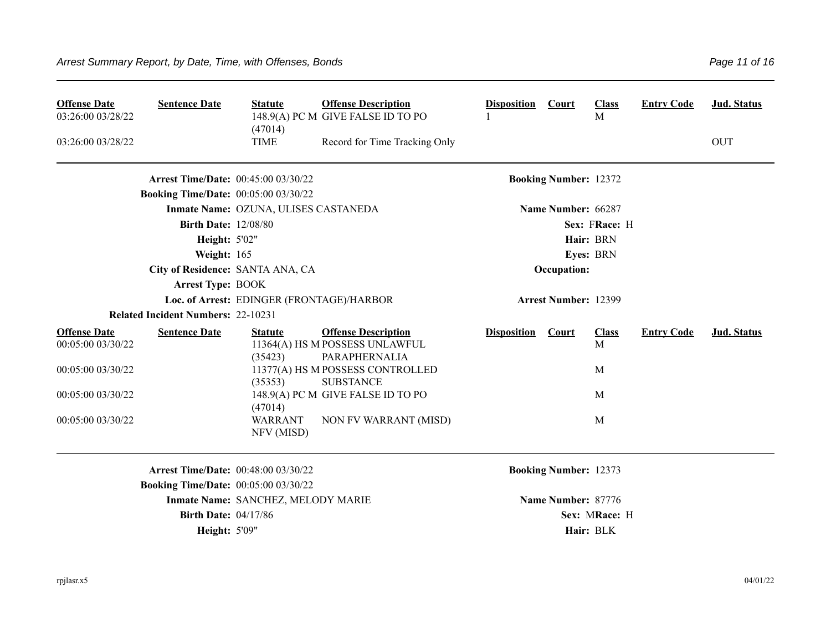| <b>Offense Date</b><br>03:26:00 03/28/22 | <b>Sentence Date</b>                        | <b>Statute</b><br>(47014)                 | <b>Offense Description</b><br>148.9(A) PC M GIVE FALSE ID TO PO               | <b>Disposition</b> | <b>Court</b>                 | <b>Class</b><br>M | <b>Entry Code</b> | Jud. Status |
|------------------------------------------|---------------------------------------------|-------------------------------------------|-------------------------------------------------------------------------------|--------------------|------------------------------|-------------------|-------------------|-------------|
| 03:26:00 03/28/22                        |                                             | <b>TIME</b>                               | Record for Time Tracking Only                                                 |                    |                              |                   |                   | <b>OUT</b>  |
|                                          | <b>Arrest Time/Date: 00:45:00 03/30/22</b>  |                                           |                                                                               |                    | <b>Booking Number: 12372</b> |                   |                   |             |
|                                          | <b>Booking Time/Date: 00:05:00 03/30/22</b> |                                           |                                                                               |                    |                              |                   |                   |             |
|                                          |                                             | Inmate Name: OZUNA, ULISES CASTANEDA      |                                                                               |                    | Name Number: 66287           |                   |                   |             |
|                                          | <b>Birth Date: 12/08/80</b>                 |                                           |                                                                               |                    |                              | Sex: FRace: H     |                   |             |
|                                          | <b>Height: 5'02"</b>                        |                                           |                                                                               |                    |                              | Hair: BRN         |                   |             |
|                                          | Weight: 165                                 |                                           |                                                                               |                    |                              | Eyes: BRN         |                   |             |
|                                          |                                             | City of Residence: SANTA ANA, CA          |                                                                               |                    | Occupation:                  |                   |                   |             |
|                                          | <b>Arrest Type: BOOK</b>                    |                                           |                                                                               |                    |                              |                   |                   |             |
|                                          |                                             | Loc. of Arrest: EDINGER (FRONTAGE)/HARBOR |                                                                               |                    | <b>Arrest Number: 12399</b>  |                   |                   |             |
|                                          | <b>Related Incident Numbers: 22-10231</b>   |                                           |                                                                               |                    |                              |                   |                   |             |
| <b>Offense Date</b><br>00:05:00 03/30/22 | <b>Sentence Date</b>                        | <b>Statute</b><br>(35423)                 | <b>Offense Description</b><br>11364(A) HS M POSSESS UNLAWFUL<br>PARAPHERNALIA | <b>Disposition</b> | <b>Court</b>                 | <b>Class</b><br>M | <b>Entry Code</b> | Jud. Status |
| 00:05:00 03/30/22                        |                                             | (35353)                                   | 11377(A) HS M POSSESS CONTROLLED<br><b>SUBSTANCE</b>                          |                    |                              | M                 |                   |             |
| 00:05:00 03/30/22                        |                                             | (47014)                                   | 148.9(A) PC M GIVE FALSE ID TO PO                                             |                    |                              | M                 |                   |             |
| 00:05:00 03/30/22                        |                                             | <b>WARRANT</b><br>NFV (MISD)              | NON FV WARRANT (MISD)                                                         |                    |                              | M                 |                   |             |
|                                          | <b>Arrest Time/Date: 00:48:00 03/30/22</b>  |                                           |                                                                               |                    | <b>Booking Number: 12373</b> |                   |                   |             |
|                                          | <b>Booking Time/Date:</b> 00:05:00 03/30/22 |                                           |                                                                               |                    |                              |                   |                   |             |
|                                          |                                             | Inmate Name: SANCHEZ, MELODY MARIE        |                                                                               |                    | Name Number: 87776           |                   |                   |             |
|                                          | <b>Birth Date: 04/17/86</b>                 |                                           |                                                                               |                    |                              | Sex: MRace: H     |                   |             |
|                                          | <b>Height: 5'09"</b>                        |                                           |                                                                               |                    |                              | Hair: BLK         |                   |             |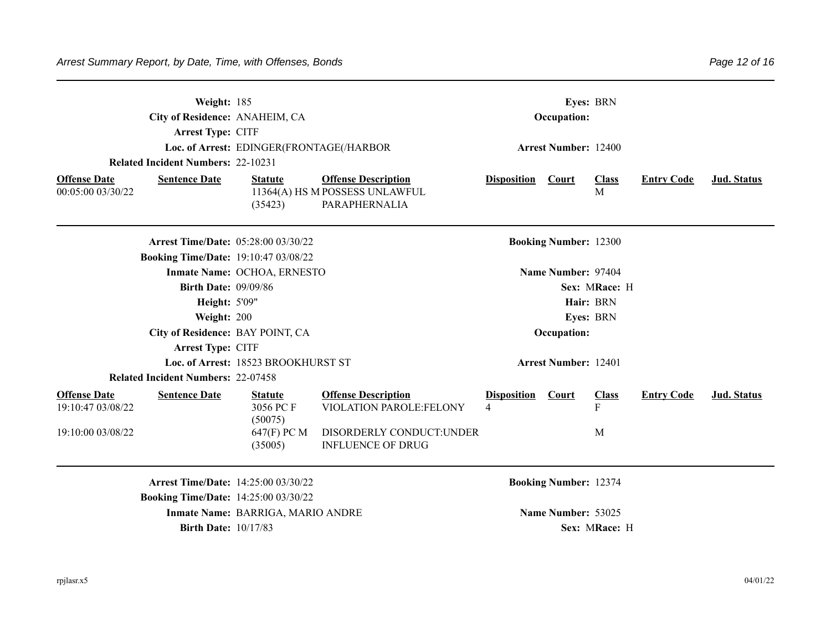|                                          | Weight: 185<br>City of Residence: ANAHEIM, CA<br>Arrest Type: CITF |                                          |                                                                               |                         | Occupation:                  | Eyes: BRN         |                   |             |
|------------------------------------------|--------------------------------------------------------------------|------------------------------------------|-------------------------------------------------------------------------------|-------------------------|------------------------------|-------------------|-------------------|-------------|
|                                          |                                                                    | Loc. of Arrest: EDINGER(FRONTAGE(/HARBOR |                                                                               |                         | <b>Arrest Number: 12400</b>  |                   |                   |             |
|                                          | <b>Related Incident Numbers: 22-10231</b>                          |                                          |                                                                               |                         |                              |                   |                   |             |
| <b>Offense Date</b><br>00:05:00 03/30/22 | <b>Sentence Date</b>                                               | <b>Statute</b><br>(35423)                | <b>Offense Description</b><br>11364(A) HS M POSSESS UNLAWFUL<br>PARAPHERNALIA | <b>Disposition</b>      | Court                        | <b>Class</b><br>M | <b>Entry Code</b> | Jud. Status |
|                                          | <b>Arrest Time/Date: 05:28:00 03/30/22</b>                         |                                          |                                                                               |                         | <b>Booking Number: 12300</b> |                   |                   |             |
|                                          | <b>Booking Time/Date: 19:10:47 03/08/22</b>                        |                                          |                                                                               |                         |                              |                   |                   |             |
|                                          |                                                                    | Inmate Name: OCHOA, ERNESTO              |                                                                               |                         | Name Number: 97404           |                   |                   |             |
|                                          | <b>Birth Date: 09/09/86</b>                                        |                                          |                                                                               |                         |                              | Sex: MRace: H     |                   |             |
|                                          | Height: 5'09"                                                      |                                          |                                                                               |                         |                              | Hair: BRN         |                   |             |
|                                          | Weight: 200                                                        |                                          |                                                                               |                         |                              | Eyes: BRN         |                   |             |
|                                          | City of Residence: BAY POINT, CA                                   |                                          |                                                                               |                         | Occupation:                  |                   |                   |             |
|                                          | Arrest Type: CITF                                                  |                                          |                                                                               |                         |                              |                   |                   |             |
|                                          |                                                                    | Loc. of Arrest: 18523 BROOKHURST ST      |                                                                               |                         | <b>Arrest Number: 12401</b>  |                   |                   |             |
|                                          | <b>Related Incident Numbers: 22-07458</b>                          |                                          |                                                                               |                         |                              |                   |                   |             |
| <b>Offense Date</b><br>19:10:47 03/08/22 | <b>Sentence Date</b>                                               | <b>Statute</b><br>3056 PCF<br>(50075)    | <b>Offense Description</b><br>VIOLATION PAROLE:FELONY                         | <b>Disposition</b><br>4 | Court                        | <b>Class</b><br>F | <b>Entry Code</b> | Jud. Status |
| 19:10:00 03/08/22                        |                                                                    | 647(F) PC M<br>(35005)                   | DISORDERLY CONDUCT:UNDER<br><b>INFLUENCE OF DRUG</b>                          |                         |                              | M                 |                   |             |
|                                          | <b>Arrest Time/Date: 14:25:00 03/30/22</b>                         |                                          |                                                                               |                         | <b>Booking Number: 12374</b> |                   |                   |             |
|                                          | <b>Booking Time/Date: 14:25:00 03/30/22</b>                        |                                          |                                                                               |                         |                              |                   |                   |             |
|                                          |                                                                    | Inmate Name: BARRIGA, MARIO ANDRE        |                                                                               |                         | Name Number: 53025           |                   |                   |             |
|                                          | <b>Birth Date: 10/17/83</b>                                        |                                          |                                                                               |                         |                              | Sex: MRace: H     |                   |             |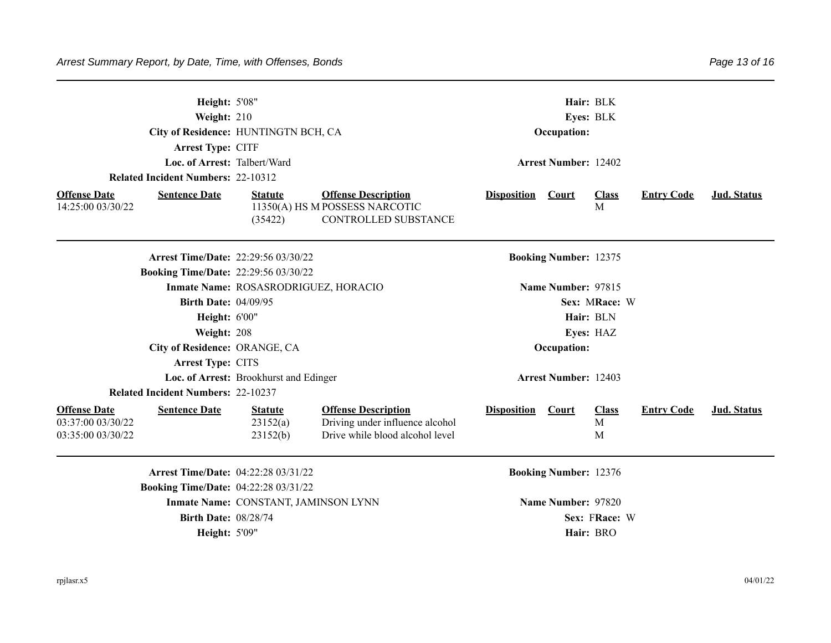|                                                               | Height: 5'08"<br>Weight: 210<br>City of Residence: HUNTINGTN BCH, CA<br>Arrest Type: CITF |                                        | Hair: BLK<br>Eyes: BLK<br>Occupation:                                                            |                    |                              |                        |                   |             |
|---------------------------------------------------------------|-------------------------------------------------------------------------------------------|----------------------------------------|--------------------------------------------------------------------------------------------------|--------------------|------------------------------|------------------------|-------------------|-------------|
|                                                               | Loc. of Arrest: Talbert/Ward                                                              |                                        |                                                                                                  |                    | <b>Arrest Number: 12402</b>  |                        |                   |             |
|                                                               | <b>Related Incident Numbers: 22-10312</b>                                                 |                                        |                                                                                                  |                    |                              |                        |                   |             |
| <b>Offense Date</b><br>14:25:00 03/30/22                      | <b>Sentence Date</b>                                                                      | <b>Statute</b><br>(35422)              | <b>Offense Description</b><br>11350(A) HS M POSSESS NARCOTIC<br>CONTROLLED SUBSTANCE             | <b>Disposition</b> | <b>Court</b>                 | <b>Class</b><br>M      | <b>Entry Code</b> | Jud. Status |
|                                                               | <b>Arrest Time/Date: 22:29:56 03/30/22</b>                                                |                                        |                                                                                                  |                    | <b>Booking Number: 12375</b> |                        |                   |             |
|                                                               | <b>Booking Time/Date: 22:29:56 03/30/22</b>                                               |                                        |                                                                                                  |                    |                              |                        |                   |             |
|                                                               |                                                                                           | Inmate Name: ROSASRODRIGUEZ, HORACIO   |                                                                                                  |                    | Name Number: 97815           |                        |                   |             |
|                                                               | <b>Birth Date: 04/09/95</b>                                                               |                                        |                                                                                                  |                    |                              |                        |                   |             |
|                                                               | Height: 6'00"                                                                             |                                        |                                                                                                  |                    | Hair: BLN                    |                        |                   |             |
|                                                               | Weight: 208                                                                               |                                        |                                                                                                  |                    | Eyes: HAZ                    |                        |                   |             |
|                                                               | City of Residence: ORANGE, CA                                                             |                                        |                                                                                                  |                    | Occupation:                  |                        |                   |             |
|                                                               | Arrest Type: CITS                                                                         |                                        |                                                                                                  |                    |                              |                        |                   |             |
|                                                               |                                                                                           | Loc. of Arrest: Brookhurst and Edinger | <b>Arrest Number: 12403</b>                                                                      |                    |                              |                        |                   |             |
|                                                               | <b>Related Incident Numbers: 22-10237</b>                                                 |                                        |                                                                                                  |                    |                              |                        |                   |             |
| <b>Offense Date</b><br>03:37:00 03/30/22<br>03:35:00 03/30/22 | <b>Sentence Date</b>                                                                      | <b>Statute</b><br>23152(a)<br>23152(b) | <b>Offense Description</b><br>Driving under influence alcohol<br>Drive while blood alcohol level | <b>Disposition</b> | <b>Court</b>                 | <b>Class</b><br>M<br>M | <b>Entry Code</b> | Jud. Status |
|                                                               | Arrest Time/Date: 04:22:28 03/31/22                                                       |                                        |                                                                                                  |                    | <b>Booking Number: 12376</b> |                        |                   |             |
|                                                               | <b>Booking Time/Date: 04:22:28 03/31/22</b>                                               |                                        |                                                                                                  |                    |                              |                        |                   |             |
|                                                               |                                                                                           | Inmate Name: CONSTANT, JAMINSON LYNN   | Name Number: 97820                                                                               |                    |                              |                        |                   |             |
|                                                               | <b>Birth Date: 08/28/74</b>                                                               |                                        |                                                                                                  |                    |                              | Sex: FRace: W          |                   |             |
|                                                               | <b>Height: 5'09"</b>                                                                      |                                        |                                                                                                  |                    | Hair: BRO                    |                        |                   |             |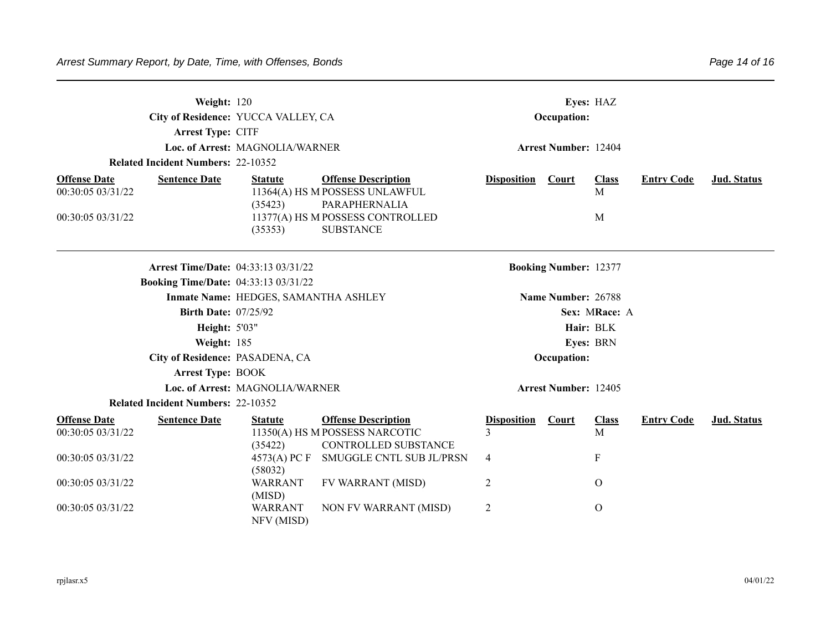| Weight: 120<br>City of Residence: YUCCA VALLEY, CA<br>Arrest Type: CITF |                                             |                                      | Occupation:                                                                          |                             |                              |                   |                   |                    |  |  |
|-------------------------------------------------------------------------|---------------------------------------------|--------------------------------------|--------------------------------------------------------------------------------------|-----------------------------|------------------------------|-------------------|-------------------|--------------------|--|--|
|                                                                         |                                             | Loc. of Arrest: MAGNOLIA/WARNER      |                                                                                      | <b>Arrest Number: 12404</b> |                              |                   |                   |                    |  |  |
|                                                                         | <b>Related Incident Numbers: 22-10352</b>   |                                      |                                                                                      |                             |                              |                   |                   |                    |  |  |
| <b>Offense Date</b><br>00:30:05 03/31/22                                | <b>Sentence Date</b>                        | <b>Statute</b><br>(35423)            | <b>Offense Description</b><br>11364(A) HS M POSSESS UNLAWFUL<br>PARAPHERNALIA        | <b>Disposition</b>          | <b>Court</b>                 | <b>Class</b><br>M | <b>Entry Code</b> | Jud. Status        |  |  |
| 00:30:05 03/31/22                                                       |                                             | (35353)                              | 11377(A) HS M POSSESS CONTROLLED<br><b>SUBSTANCE</b>                                 |                             |                              | M                 |                   |                    |  |  |
|                                                                         | <b>Arrest Time/Date: 04:33:13 03/31/22</b>  |                                      |                                                                                      |                             | <b>Booking Number: 12377</b> |                   |                   |                    |  |  |
|                                                                         | <b>Booking Time/Date: 04:33:13 03/31/22</b> |                                      |                                                                                      |                             |                              |                   |                   |                    |  |  |
|                                                                         |                                             | Inmate Name: HEDGES, SAMANTHA ASHLEY |                                                                                      |                             | Name Number: 26788           |                   |                   |                    |  |  |
| <b>Birth Date: 07/25/92</b>                                             |                                             |                                      |                                                                                      | Sex: MRace: A               |                              |                   |                   |                    |  |  |
| Height: 5'03"                                                           |                                             |                                      | Hair: BLK                                                                            |                             |                              |                   |                   |                    |  |  |
|                                                                         | Weight: 185                                 |                                      |                                                                                      |                             |                              | Eyes: BRN         |                   |                    |  |  |
|                                                                         | City of Residence: PASADENA, CA             |                                      | Occupation:                                                                          |                             |                              |                   |                   |                    |  |  |
|                                                                         | <b>Arrest Type: BOOK</b>                    |                                      |                                                                                      |                             |                              |                   |                   |                    |  |  |
|                                                                         |                                             | Loc. of Arrest: MAGNOLIA/WARNER      |                                                                                      | <b>Arrest Number: 12405</b> |                              |                   |                   |                    |  |  |
|                                                                         | <b>Related Incident Numbers: 22-10352</b>   |                                      |                                                                                      |                             |                              |                   |                   |                    |  |  |
| <b>Offense Date</b><br>00:30:05 03/31/22                                | <b>Sentence Date</b>                        | <b>Statute</b><br>(35422)            | <b>Offense Description</b><br>11350(A) HS M POSSESS NARCOTIC<br>CONTROLLED SUBSTANCE | <b>Disposition</b><br>3     | Court                        | <b>Class</b><br>M | <b>Entry Code</b> | <b>Jud. Status</b> |  |  |
| 00:30:05 03/31/22                                                       |                                             | 4573(A) PC F<br>(58032)              | SMUGGLE CNTL SUB JL/PRSN                                                             | 4                           |                              | ${\bf F}$         |                   |                    |  |  |
| 00:30:05 03/31/22                                                       |                                             | <b>WARRANT</b><br>(MISD)             | <b>FV WARRANT (MISD)</b>                                                             | 2                           |                              | $\Omega$          |                   |                    |  |  |
| 00:30:05 03/31/22                                                       |                                             | <b>WARRANT</b><br>NFV (MISD)         | NON FV WARRANT (MISD)                                                                | 2                           |                              | $\mathbf O$       |                   |                    |  |  |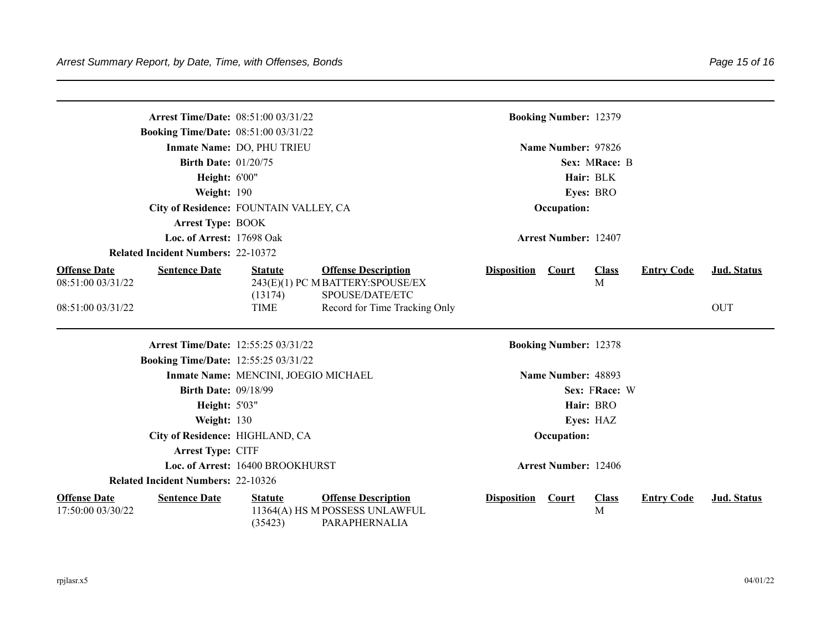| <b>Arrest Time/Date: 08:51:00 03/31/22</b>                       |                                      |                                                                               |                             | <b>Booking Number: 12379</b> |                   |                   |                    |  |  |
|------------------------------------------------------------------|--------------------------------------|-------------------------------------------------------------------------------|-----------------------------|------------------------------|-------------------|-------------------|--------------------|--|--|
| <b>Booking Time/Date: 08:51:00 03/31/22</b>                      |                                      |                                                                               |                             |                              |                   |                   |                    |  |  |
|                                                                  | Inmate Name: DO, PHU TRIEU           | Name Number: 97826                                                            |                             |                              |                   |                   |                    |  |  |
| <b>Birth Date: 01/20/75</b>                                      |                                      |                                                                               |                             |                              | Sex: MRace: B     |                   |                    |  |  |
| Height: 6'00"                                                    |                                      |                                                                               | Hair: BLK                   |                              |                   |                   |                    |  |  |
| Weight: 190                                                      |                                      |                                                                               | Eyes: BRO                   |                              |                   |                   |                    |  |  |
| City of Residence: FOUNTAIN VALLEY, CA                           |                                      | Occupation:                                                                   |                             |                              |                   |                   |                    |  |  |
| <b>Arrest Type: BOOK</b>                                         |                                      |                                                                               |                             |                              |                   |                   |                    |  |  |
| Loc. of Arrest: 17698 Oak                                        |                                      | <b>Arrest Number: 12407</b>                                                   |                             |                              |                   |                   |                    |  |  |
| <b>Related Incident Numbers: 22-10372</b>                        |                                      |                                                                               |                             |                              |                   |                   |                    |  |  |
| <b>Offense Date</b><br><b>Sentence Date</b><br>08:51:00 03/31/22 | <b>Statute</b>                       | <b>Offense Description</b><br>243(E)(1) PC M BATTERY:SPOUSE/EX                | <b>Disposition</b>          | <b>Court</b>                 | <b>Class</b><br>M | <b>Entry Code</b> | Jud. Status        |  |  |
| 08:51:00 03/31/22                                                | (13174)<br><b>TIME</b>               | SPOUSE/DATE/ETC<br>Record for Time Tracking Only                              |                             |                              |                   |                   | <b>OUT</b>         |  |  |
| Arrest Time/Date: 12:55:25 03/31/22                              |                                      |                                                                               |                             | <b>Booking Number: 12378</b> |                   |                   |                    |  |  |
| <b>Booking Time/Date: 12:55:25 03/31/22</b>                      |                                      |                                                                               |                             |                              |                   |                   |                    |  |  |
|                                                                  | Inmate Name: MENCINI, JOEGIO MICHAEL | Name Number: 48893                                                            |                             |                              |                   |                   |                    |  |  |
| <b>Birth Date: 09/18/99</b>                                      |                                      |                                                                               |                             |                              |                   |                   |                    |  |  |
| Height: 5'03"                                                    |                                      |                                                                               |                             |                              |                   |                   |                    |  |  |
| Weight: 130                                                      |                                      | Eyes: HAZ                                                                     |                             |                              |                   |                   |                    |  |  |
| City of Residence: HIGHLAND, CA                                  |                                      | Occupation:                                                                   |                             |                              |                   |                   |                    |  |  |
| Arrest Type: CITF                                                |                                      |                                                                               |                             |                              |                   |                   |                    |  |  |
| Loc. of Arrest: 16400 BROOKHURST                                 |                                      |                                                                               | <b>Arrest Number: 12406</b> |                              |                   |                   |                    |  |  |
| <b>Related Incident Numbers: 22-10326</b>                        |                                      |                                                                               |                             |                              |                   |                   |                    |  |  |
| <b>Offense Date</b><br><b>Sentence Date</b><br>17:50:00 03/30/22 | <b>Statute</b><br>(35423)            | <b>Offense Description</b><br>11364(A) HS M POSSESS UNLAWFUL<br>PARAPHERNALIA | <b>Disposition</b>          | Court                        | <b>Class</b><br>M | <b>Entry Code</b> | <b>Jud. Status</b> |  |  |